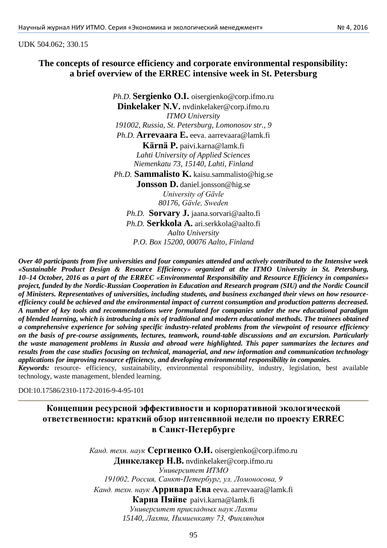## UDK 504.062; 330.15

## **The concepts of resource efficiency and corporate environmental responsibility: a brief overview of the ERREC intensive week in St. Petersburg**

*Ph.D.* **Sergienko O.I.** [oisergienko@corp.ifmo.ru](mailto:oisergienko@corp.ifmo.ru) **Dinkelaker N.V.** nvdinkelake[r@corp.ifmo.ru](mailto:oisergienko@corp.ifmo.ru) *ITMO University 191002, Russia, St. Petersburg, Lomonosov str., 9 Ph.D.* **Arrevaara E.** eeva. [aarrevaara@lamk.fi](mailto:aarrevaara@lamk.fi) **Kärnä P.** [paivi.karna@lamk.fi](mailto:paivi.karna@lamk.fi) *Lahti University of Applied Sciences Niemenkatu 73, 15140, Lahti, Finland Ph.D.* **Sammalisto K.** [kaisu.sammalisto@hig.se](mailto:kaisu.sammalisto@hig.se) **Jonsson D.** [daniel.jonsson@hig.se](mailto:daniel.jonsson@hig.se) *University of Gävle 80176, Gävle, Sweden Ph.D.* **Sorvary J.** [jaana.sorvari@aalto.fi](https://mail.yandex.ru/lite/compose?to=jaana.sorvari@aalto.fi) *Ph.D.* **Serkkola A.** [ari.serkkola@aalto.fi](mailto:ari.serkkola@aalto.fi) *Aalto University P.O. Box 15200, 00076 Aalto, Finland*

*Over 40 participants from five universities and four companies attended and actively contributed to the Intensive week «Sustainable Product Design & Resource Efficiency» organized at the ITMO University in St. Petersburg, 10–14 October, 2016 as a part of the ERREC «Environmental Responsibility and Resource Efficiency in companies» project, funded by the Nordic-Russian Cooperation in Education and Research program (SIU) and the Nordic Council of Ministers. Representatives of universities, including students, and business exchanged their views on how resourceefficiency could be achieved and the environmental impact of current consumption and production patterns decreased. A number of key tools and recommendations were formulated for companies under the new educational paradigm of blended learning, which is introducing a mix of traditional and modern educational methods. The trainees obtained a comprehensive experience for solving specific industry-related problems from the viewpoint of resource efficiency on the basis of pre-course assignments, lectures, teamwork, round-table discussions and an excursion. Particularly the waste management problems in Russia and abroad were highlighted. This paper summarizes the lectures and results from the case studies focusing on technical, managerial, and new information and communication technology applications for improving resource efficiency, and developing environmental responsibility in companies. Keywords:* resource- efficiency, sustainability, environmental responsibility, industry, legislation, best available

technology, waste management, blended learning.

DOI:10.17586/2310-1172-2016-9-4-95-101

# **Концепции ресурсной эффективности и корпоративной экологической ответственности: краткий обзор интенсивной недели по проекту ERREC в Санкт-Петербурге**

*Канд. техн. наук* **Сергиенко О.И.** oisergienko@corp.ifmo.ru **Динкелакер Н.В.** nvdinkelake[r@corp.ifmo.ru](mailto:oisergienko@corp.ifmo.ru) *Университет ИТМО 191002, Россия, Санкт-Петербург, ул. Ломоносова, 9 Канд. техн. наук* **Арривара Ева** eeva. [aarrevaara@lamk.fi](mailto:aarrevaara@lamk.fi) **Карна Пяйве** paivi.karna@lamk.fi *Университет прикладных наук Лахти 15140, Лахти, Нимиенкату 73, Финляндия*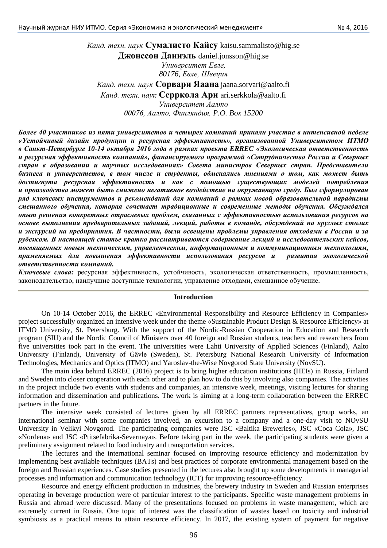*Канд. техн. наук* **Сумалисто Кайсу** kaisu.sammalisto@hig.se **Джонссон Даниэль** daniel.jonsson@hig.se *Университет Евле, 80176, Евле, Швеция Канд. техн. наук* **Сорвари Яаана** jaana.sorvari@aalto.fi *Канд. техн. наук* **Серркола Ари** ari.serkkola@aalto.fi *Университет Аалто 00076, Аалто, Финляндия, P.O. Box 15200*

*Более 40 участников из пяти университетов и четырех компаний приняли участие в интенсивной неделе «Устойчивый дизайн продукции и ресурсная эффективность», организованной Университетом ИТМО в Санкт-Петербурге 10-14 октября 2016 года в рамках проекта ERREC «Экологическая ответственность и ресурсная эффективность компаний», финансируемого программой «Сотрудничество России и Северных стран в образовании и научных исследованиях» Совета министров Северных стран. Представители бизнеса и университетов, в том числе и студенты, обменялись мнениями о том, как может быть достигнута ресурсная эффективность и как с помощью существующих моделей потребления и производства может быть снижено негативное воздействие на окружающую среду. Был сформулирован ряд ключевых инструментов и рекомендаций для компаний в рамках новой образовательной парадигмы смешанного обучения, которая сочетает традиционные и современные методы обучения. Обсуждался опыт решения конкретных отраслевых проблем, связанных с эффективностью использования ресурсов на основе выполнения предварительных заданий, лекций, работы в команде, обсуждений на круглых столах и экскурсий на предприятия. В частности, были освещены проблемы управления отходами в России и за рубежом. В настоящей статье кратко рассматриваются содержание лекций и исследовательских кейсов, посвященных новым техническим, управленческим, информационным и коммуникационным технологиям, применяемых для повышения эффективности использования ресурсов и развития экологической ответственности компаний.*

*Ключевые слова:* ресурсная эффективность, устойчивость, экологическая ответственность, промышленность, законодательство, наилучшие доступные технологии, управление отходами, смешанное обучение.

#### **Introduction**

On 10-14 October 2016, the ERREC «Environmental Responsibility and Resource Efficiency in Companies» project successfully organized an intensive week under the theme «Sustainable Product Design & Resource Efficiency» at ITMO University, St. Petersburg. With the support of the Nordic-Russian Cooperation in Education and Research program (SIU) and the Nordic Council of Ministers over 40 foreign and Russian students, teachers and researchers from five universities took part in the event. The universities were Lahti University of Applied Sciences (Finland), Aalto University (Finland), University of Gävle (Sweden), St. Petersburg National Research University of Information Technologies, Mechanics and Optics (ITMO) and Yaroslav-the-Wise Novgorod State University (NovSU).

The main idea behind ERREC (2016) project is to bring higher education institutions (HEIs) in Russia, Finland and Sweden into closer cooperation with each other and to plan how to do this by involving also companies. The activities in the project include two events with students and companies, an intensive week, meetings, visiting lectures for sharing information and dissemination and publications. The work is aiming at a long-term collaboration between the ERREC partners in the future.

The intensive week consisted of lectures given by all ERREC partners representatives, group works, an international seminar with some companies involved, an excursion to a company and a one-day visit to NOvSU University in Velikyi Novgorod. The participating companies were JSC «Baltika Breweries», JSC «Coca Cola», JSC «Nordena» and JSC «Ptitsefabrika-Severnaya». Before taking part in the week, the participating students were given a preliminary assignment related to food industry and transportation services.

The lectures and the international seminar focused on improving resource efficiency and modernization by implementing best available techniques (BATs) and best practices of corporate environmental management based on the foreign and Russian experiences. Case studies presented in the lectures also brought up some developments in managerial processes and information and communication technology (ICT) for improving resource-efficiency.

Resource and energy efficient production in industries, the brewery industry in Sweden and Russian enterprises operating in beverage production were of particular interest to the participants. Specific waste management problems in Russia and abroad were discussed. Many of the presentations focused on problems in waste management, which are extremely current in Russia. One topic of interest was the classification of wastes based on toxicity and industrial symbiosis as a practical means to attain resource efficiency. In 2017, the existing system of payment for negative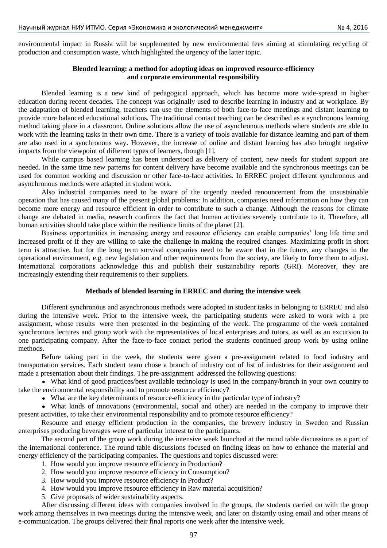environmental impact in Russia will be supplemented by new environmental fees aiming at stimulating recycling of production and consumption waste, which highlighted the urgency of the latter topic.

### **Blended learning: a method for adopting ideas on improved resource-efficiency and corporate environmental responsibility**

Blended learning is a new kind of pedagogical approach, which has become more wide-spread in higher education during recent decades. The concept was originally used to describe learning in industry and at workplace. By the adaptation of blended learning, teachers can use the elements of both face-to-face meetings and distant learning to provide more balanced educational solutions. The traditional contact teaching can be described as a synchronous learning method taking place in a classroom. Online solutions allow the use of asynchronous methods where students are able to work with the learning tasks in their own time. There is a variety of tools available for distance learning and part of them are also used in a synchronous way. However, the increase of online and distant learning has also brought negative impacts from the viewpoint of different types of learners, though [1].

While campus based learning has been understood as delivery of content, new needs for student support are needed. In the same time new patterns for content delivery have become available and the synchronous meetings can be used for common working and discussion or other face-to-face activities. In ERREC project different synchronous and asynchronous methods were adapted in student work.

Also industrial companies need to be aware of the urgently needed renouncement from the unsustainable operation that has caused many of the present global problems: In addition, companies need information on how they can become more energy and resource efficient in order to contribute to such a change. Although the reasons for climate change are debated in media, research confirms the fact that human activities severely contribute to it. Therefore, all human activities should take place within the resilience limits of the planet [2].

Business opportunities in increasing energy and resource efficiency can enable companies' long life time and increased profit of if they are willing to take the challenge in making the required changes. Maximizing profit in short term is attractive, but for the long term survival companies need to be aware that in the future, any changes in the operational environment, e.g. new legislation and other requirements from the society, are likely to force them to adjust. International corporations acknowledge this and publish their sustainability reports (GRI). Moreover, they are increasingly extending their requirements to their suppliers.

### **Methods of blended learning in ERREC and during the intensive week**

Different synchronous and asynchronous methods were adopted in student tasks in belonging to ERREC and also during the intensive week. Prior to the intensive week, the participating students were asked to work with a pre assignment, whose results were then presented in the beginning of the week. The programme of the week contained synchronous lectures and group work with the representatives of local enterprises and tutors, as well as an excursion to one participating company. After the face-to-face contact period the students continued group work by using online methods.

Before taking part in the week, the students were given a pre-assignment related to food industry and transportation services. Each student team chose a branch of industry out of list of industries for their assignment and made a presentation about their findings. The pre-assignment addressed the following questions:

• What kind of good practices/best available technology is used in the company/branch in your own country to take the environmental responsibility and to promote resource efficiency?

What are the key determinants of resource-efficiency in the particular type of industry?

What kinds of innovations (environmental, social and other) are needed in the company to improve their present activities, to take their environmental responsibility and to promote resource efficiency?

Resource and energy efficient production in the companies, the brewery industry in Sweden and Russian enterprises producing beverages were of particular interest to the participants.

The second part of the group work during the intensive week launched at the round table discussions as a part of the international conference. The round table discussions focused on finding ideas on how to enhance the material and energy efficiency of the participating companies. The questions and topics discussed were:

- 1. How would you improve resource efficiency in Production?
- 2. How would you improve resource efficiency in Consumption?
- 3. How would you improve resource efficiency in Product?
- 4. How would you improve resource efficiency in Raw material acquisition?
- 5. Give proposals of wider sustainability aspects.

After discussing different ideas with companies involved in the groups, the students carried on with the group work among themselves in two meetings during the intensive week, and later on distantly using email and other means of e-communication. The groups delivered their final reports one week after the intensive week.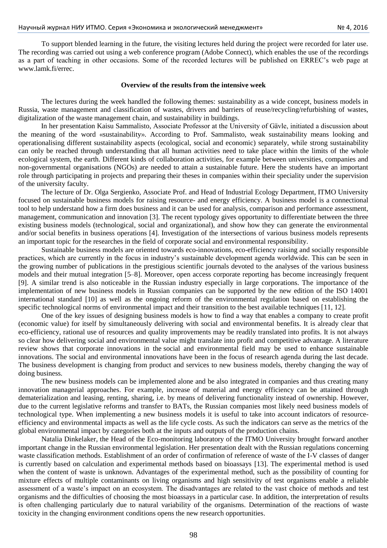To support blended learning in the future, the visiting lectures held during the project were recorded for later use. The recording was carried out using a web conference program (Adobe Connect), which enables the use of the recordings as a part of teaching in other occasions. Some of the recorded lectures will be published on ERREC's web page at [www.lamk.fi/errec.](http://www.lamk.fi/errec)

#### **Overview of the results from the intensive week**

The lectures during the week handled the following themes: sustainability as a wide concept, business models in Russia, waste management and classification of wastes, drivers and barriers of reuse/recycling/refurbishing of wastes, digitalization of the waste management chain, and sustainability in buildings.

In her presentation Kaisu Sammalisto, Associate Professor at the University of Gävle, initiated a discussion about the meaning of the word «sustainability». According to Prof. Sammalisto, weak sustainability means looking and operationalising different sustainability aspects (ecological, social and economic) separately, while strong sustainability can only be reached through understanding that all human activities need to take place within the limits of the whole ecological system, the earth. Different kinds of collaboration activities, for example between universities, companies and non-governmental organisations (NGOs) are needed to attain a sustainable future. Here the students have an important role through participating in projects and preparing their theses in companies within their speciality under the supervision of the university faculty.

The lecture of Dr. Olga Sergienko, Associate Prof. and Head of Industrial Ecology Department, ITMO University focused on sustainable business models for raising resource- and energy efficiency. A business model is a connectional tool to help understand how a firm does business and it can be used for analysis, comparison and performance assessment, management, communication and innovation [3]. The recent typology gives opportunity to differentiate between the three existing business models (technological, social and organizational), and show how they can generate the environmental and/or social benefits in business operations [4]. Investigation of the intersections of various business models represents an important topic for the researches in the field of corporate social and environmental responsibility.

Sustainable business models are oriented towards eco-innovations, eco-efficiency raising and socially responsible practices, which are currently in the focus in industry's sustainable development agenda worldwide. This can be seen in the growing number of publications in the prestigious scientific journals devoted to the analyses of the various business models and their mutual integration [5–8]. Moreover, open access corporate reporting has become increasingly frequent [9]. A similar trend is also noticeable in the Russian industry especially in large corporations. The importance of the implementation of new business models in Russian companies can be supported by the new edition of the ISO 14001 international standard [10] as well as the ongoing reform of the environmental regulation based on establishing the specific technological norms of environmental impact and their transition to the best available techniques [11, 12].

One of the key issues of designing business models is how to find a way that enables a company to create profit (economic value) for itself by simultaneously delivering with social and environmental benefits. It is already clear that eco-efficiency, rational use of resources and quality improvements may be readily translated into profits. It is not always so clear how delivering social and environmental value might translate into profit and competitive advantage. A literature review shows that corporate innovations in the social and environmental field may be used to enhance sustainable innovations. The social and environmental innovations have been in the focus of research agenda during the last decade. The business development is changing from product and services to new business models, thereby changing the way of doing business.

The new business models can be implemented alone and be also integrated in companies and thus creating many innovation managerial approaches. For example, increase of material and energy efficiency can be attained through dematerialization and leasing, renting, sharing, i.e. by means of delivering functionality instead of ownership. However, due to the current legislative reforms and transfer to BATs, the Russian companies most likely need business models of technological type. When implementing a new business models it is useful to take into account indicators of resourceefficiency and environmental impacts as well as the life cycle costs. As such the indicators can serve as the metrics of the global environmental impact by categories both at the inputs and outputs of the production chains.

Natalia Dinkelaker, the Head of the Eco-monitoring laboratory of the ITMO University brought forward another important change in the Russian environmental legislation. Her presentation dealt with the Russian regulations concerning waste classification methods. Establishment of an order of confirmation of reference of waste of the I-V classes of danger is currently based on calculation and experimental methods based on bioassays [13]. The experimental method is used when the content of waste is unknown. Advantages of the experimental method, such as the possibility of counting for mixture effects of multiple contaminants on living organisms and high sensitivity of test organisms enable a reliable assessment of a waste's impact on an ecosystem. The disadvantages are related to the vast choice of methods and test organisms and the difficulties of choosing the most bioassays in a particular case. In addition, the interpretation of results is often challenging particularly due to natural variability of the organisms. Determination of the reactions of waste toxicity in the changing environment conditions opens the new research opportunities.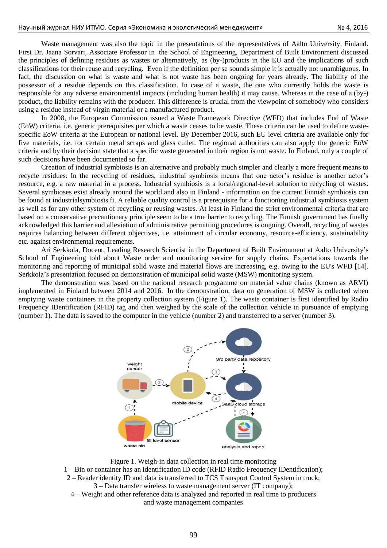Waste management was also the topic in the presentations of the representatives of Aalto University, Finland. First Dr. Jaana Sorvari, Associate Professor in the School of Engineering, Department of Built Environment discussed the principles of defining residues as wastes or alternatively, as (by-)products in the EU and the implications of such classifications for their reuse and recycling. Even if the definition per se sounds simple it is actually not unambiguous. In fact, the discussion on what is waste and what is not waste has been ongoing for years already. The liability of the possessor of a residue depends on this classification. In case of a waste, the one who currently holds the waste is responsible for any adverse environmental impacts (including human health) it may cause. Whereas in the case of a (by-) product, the liability remains with the producer. This difference is crucial from the viewpoint of somebody who considers using a residue instead of virgin material or a manufactured product.

In 2008, the European Commission issued a Waste Framework Directive (WFD) that includes End of Waste (EoW) criteria, i.e. generic prerequisites per which a waste ceases to be waste. These criteria can be used to define wastespecific EoW criteria at the European or national level. By December 2016, such EU level criteria are available only for five materials, i.e. for certain metal scraps and glass cullet. The regional authorities can also apply the generic EoW criteria and by their decision state that a specific waste generated in their region is not waste. In Finland, only a couple of such decisions have been documented so far.

Creation of industrial symbiosis is an alternative and probably much simpler and clearly a more frequent means to recycle residues. In the recycling of residues, industrial symbiosis means that one actor's residue is another actor's resource, e.g. a raw material in a process. Industrial symbiosis is a local/regional-level solution to recycling of wastes. Several symbioses exist already around the world and also in Finland - information on the current Finnish symbiosis can be found at industrialsymbiosis.fi. A reliable quality control is a prerequisite for a functioning industrial symbiosis system as well as for any other system of recycling or reusing wastes. At least in Finland the strict environmental criteria that are based on a conservative precautionary principle seem to be a true barrier to recycling. The Finnish government has finally acknowledged this barrier and alleviation of administrative permitting procedures is ongoing. Overall, recycling of wastes requires balancing between different objectives, i.e. attainment of circular economy, resource-efficiency, sustainability etc. against environmental requirements.

Ari Serkkola, Docent, Leading Research Scientist in the Department of Built Environment at Aalto University's School of Engineering told about Waste order and monitoring service for supply chains. Expectations towards the monitoring and reporting of municipal solid waste and material flows are increasing, e.g. owing to the EU's WFD [14]. Serkkola's presentation focused on demonstration of municipal solid waste (MSW) monitoring system.

The demonstration was based on the national research programme on material value chains (known as ARVI) implemented in Finland between 2014 and 2016. In the demonstration, data on generation of MSW is collected when emptying waste containers in the property collection system (Figure 1). The waste container is first identified by Radio Frequency IDentification (RFID) tag and then weighed by the scale of the collection vehicle in pursuance of emptying (number 1). The data is saved to the computer in the vehicle (number 2) and transferred to a server (number 3).



Figure 1. Weigh-in data collection in real time monitoring 1 – Bin or container has an identification ID code (RFID Radio Frequency IDentification); 2 – Reader identity ID and data is transferred to TCS Transport Control System in truck; 3 – Data transfer wireless to waste management server (IT company); 4 – Weight and other reference data is analyzed and reported in real time to producers and waste management companies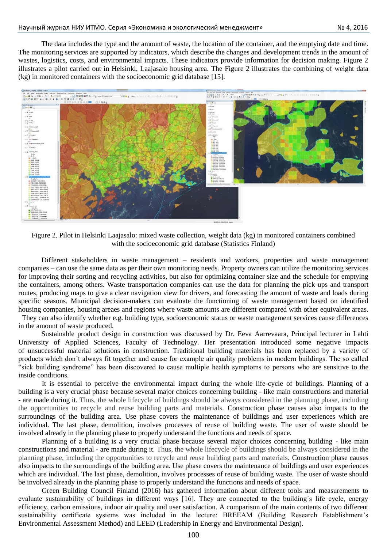The data includes the type and the amount of waste, the location of the container, and the emptying date and time. The monitoring services are supported by indicators, which describe the changes and development trends in the amount of wastes, logistics, costs, and environmental impacts. These indicators provide information for decision making. Figure 2 illustrates a pilot carried out in Helsinki, Laajasalo housing area. The Figure 2 illustrates the combining of weight data (kg) in monitored containers with the socioeconomic grid database [15].



Figure 2. Pilot in Helsinki Laajasalo: mixed waste collection, weight data (kg) in monitored containers combined with the socioeconomic grid database (Statistics Finland)

Different stakeholders in waste management – residents and workers, properties and waste management companies – can use the same data as per their own monitoring needs. Property owners can utilize the monitoring services for improving their sorting and recycling activities, but also for optimizing container size and the schedule for emptying the containers, among others. Waste transportation companies can use the data for planning the pick-ups and transport routes, producing maps to give a clear navigation view for drivers, and forecasting the amount of waste and loads during specific seasons. Municipal decision-makers can evaluate the functioning of waste management based on identified housing companies, housing areaes and regions where waste amounts are different compared with other equivalent areas.

 They can also identify whether e.g. building type, socioeconomic status or waste management services cause differences in the amount of waste produced.

Sustainable product design in construction was discussed by Dr. Eeva Aarrevaara, Principal lecturer in Lahti University of Applied Sciences, Faculty of Technology. Her presentation introduced some negative impacts of unsuccessful material solutions in construction. Traditional building materials has been replaced by a variety of products which don´t always fit together and cause for example air quality problems in modern buildings. The so called "sick building syndrome" has been discovered to cause multiple health symptoms to persons who are sensitive to the inside conditions.

It is essential to perceive the environmental impact during the whole life-cycle of buildings. Planning of a building is a very crucial phase because several major choices concerning building - like main constructions and material - are made during it. Thus, the whole lifecycle of buildings should be always considered in the planning phase, including the opportunities to recycle and reuse building parts and materials. Construction phase causes also impacts to the surroundings of the building area. Use phase covers the maintenance of buildings and user experiences which are individual. The last phase, demolition, involves processes of reuse of building waste. The user of waste should be involved already in the planning phase to properly understand the functions and needs of space.

Planning of a building is a very crucial phase because several major choices concerning building - like main constructions and material - are made during it. Thus, the whole lifecycle of buildings should be always considered in the planning phase, including the opportunities to recycle and reuse building parts and materials. Construction phase causes also impacts to the surroundings of the building area. Use phase covers the maintenance of buildings and user experiences which are individual. The last phase, demolition, involves processes of reuse of building waste. The user of waste should be involved already in the planning phase to properly understand the functions and needs of space.

Green Building Council Finland (2016) has gathered information about different tools and measurements to evaluate sustainability of buildings in different ways [16]. They are connected to the building´s life cycle, energy efficiency, carbon emissions, indoor air quality and user satisfaction. A comparison of the main contents of two different sustainability certificate systems was included in the lecture: BREEAM (Building Research Establishment's Environmental Assessment Method) and LEED (Leadership in Energy and Environmental Design).